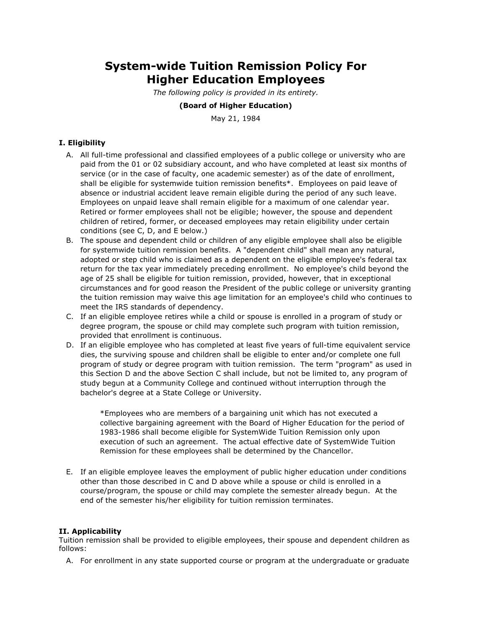# **System-wide Tuition Remission Policy For Higher Education Employees**

*The following policy is provided in its entirety.*

#### **(Board of Higher Education)**

May 21, 1984

## **I. Eligibility**

- A. All full-time professional and classified employees of a public college or university who are paid from the 01 or 02 subsidiary account, and who have completed at least six months of service (or in the case of faculty, one academic semester) as of the date of enrollment, shall be eligible for systemwide tuition remission benefits\*. Employees on paid leave of absence or industrial accident leave remain eligible during the period of any such leave. Employees on unpaid leave shall remain eligible for a maximum of one calendar year. Retired or former employees shall not be eligible; however, the spouse and dependent children of retired, former, or deceased employees may retain eligibility under certain conditions (see C, D, and E below.)
- B. The spouse and dependent child or children of any eligible employee shall also be eligible for systemwide tuition remission benefits. A "dependent child" shall mean any natural, adopted or step child who is claimed as a dependent on the eligible employee's federal tax return for the tax year immediately preceding enrollment. No employee's child beyond the age of 25 shall be eligible for tuition remission, provided, however, that in exceptional circumstances and for good reason the President of the public college or university granting the tuition remission may waive this age limitation for an employee's child who continues to meet the IRS standards of dependency.
- C. If an eligible employee retires while a child or spouse is enrolled in a program of study or degree program, the spouse or child may complete such program with tuition remission, provided that enrollment is continuous.
- D. If an eligible employee who has completed at least five years of full-time equivalent service dies, the surviving spouse and children shall be eligible to enter and/or complete one full program of study or degree program with tuition remission. The term "program" as used in this Section D and the above Section C shall include, but not be limited to, any program of study begun at a Community College and continued without interruption through the bachelor's degree at a State College or University.

\*Employees who are members of a bargaining unit which has not executed a collective bargaining agreement with the Board of Higher Education for the period of 1983-1986 shall become eligible for SystemWide Tuition Remission only upon execution of such an agreement. The actual effective date of SystemWide Tuition Remission for these employees shall be determined by the Chancellor.

E. If an eligible employee leaves the employment of public higher education under conditions other than those described in C and D above while a spouse or child is enrolled in a course/program, the spouse or child may complete the semester already begun. At the end of the semester his/her eligibility for tuition remission terminates.

### **II. Applicability**

Tuition remission shall be provided to eligible employees, their spouse and dependent children as follows:

A. For enrollment in any state supported course or program at the undergraduate or graduate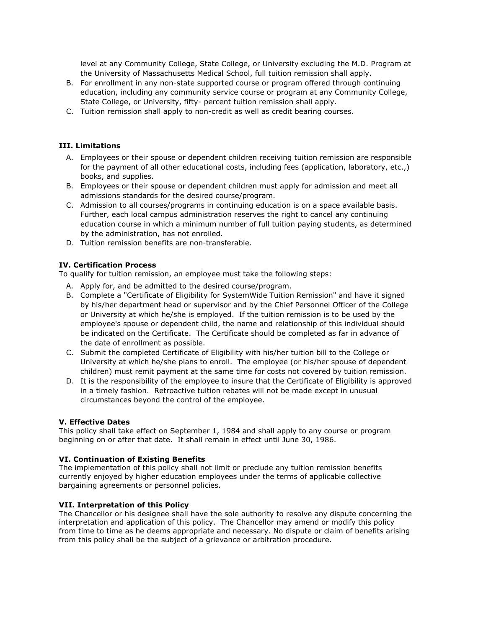level at any Community College, State College, or University excluding the M.D. Program at the University of Massachusetts Medical School, full tuition remission shall apply.

- B. For enrollment in any non-state supported course or program offered through continuing education, including any community service course or program at any Community College, State College, or University, fifty- percent tuition remission shall apply.
- C. Tuition remission shall apply to non-credit as well as credit bearing courses.

#### **III. Limitations**

- A. Employees or their spouse or dependent children receiving tuition remission are responsible for the payment of all other educational costs, including fees (application, laboratory, etc.,) books, and supplies.
- B. Employees or their spouse or dependent children must apply for admission and meet all admissions standards for the desired course/program.
- C. Admission to all courses/programs in continuing education is on a space available basis. Further, each local campus administration reserves the right to cancel any continuing education course in which a minimum number of full tuition paying students, as determined by the administration, has not enrolled.
- D. Tuition remission benefits are non-transferable.

#### **IV. Certification Process**

To qualify for tuition remission, an employee must take the following steps:

- A. Apply for, and be admitted to the desired course/program.
- B. Complete a "Certificate of Eligibility for SystemWide Tuition Remission" and have it signed by his/her department head or supervisor and by the Chief Personnel Officer of the College or University at which he/she is employed. If the tuition remission is to be used by the employee's spouse or dependent child, the name and relationship of this individual should be indicated on the Certificate. The Certificate should be completed as far in advance of the date of enrollment as possible.
- C. Submit the completed Certificate of Eligibility with his/her tuition bill to the College or University at which he/she plans to enroll. The employee (or his/her spouse of dependent children) must remit payment at the same time for costs not covered by tuition remission.
- D. It is the responsibility of the employee to insure that the Certificate of Eligibility is approved in a timely fashion. Retroactive tuition rebates will not be made except in unusual circumstances beyond the control of the employee.

#### **V. Effective Dates**

This policy shall take effect on September 1, 1984 and shall apply to any course or program beginning on or after that date. It shall remain in effect until June 30, 1986.

#### **VI. Continuation of Existing Benefits**

The implementation of this policy shall not limit or preclude any tuition remission benefits currently enjoyed by higher education employees under the terms of applicable collective bargaining agreements or personnel policies.

#### **VII. Interpretation of this Policy**

The Chancellor or his designee shall have the sole authority to resolve any dispute concerning the interpretation and application of this policy. The Chancellor may amend or modify this policy from time to time as he deems appropriate and necessary. No dispute or claim of benefits arising from this policy shall be the subject of a grievance or arbitration procedure.